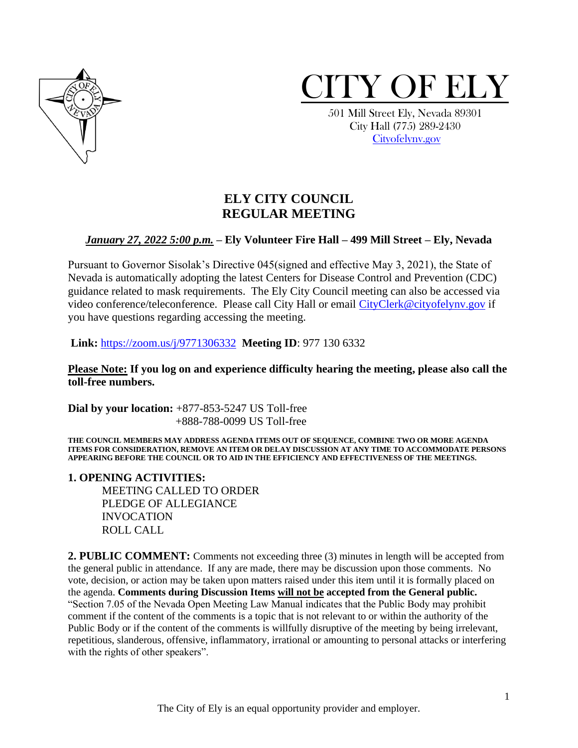



 501 Mill Street Ely, Nevada 89301 City Hall (775) 289-2430 [Cityofelynv.gov](mailto:Cityofelynv.gov)

# **ELY CITY COUNCIL REGULAR MEETING**

### *January 27, 2022 5:00 p.m.* **– Ely Volunteer Fire Hall – 499 Mill Street – Ely, Nevada**

Pursuant to Governor Sisolak's Directive 045(signed and effective May 3, 2021), the State of Nevada is automatically adopting the latest Centers for Disease Control and Prevention (CDC) guidance related to mask requirements. The Ely City Council meeting can also be accessed via video conference/teleconference. Please call City Hall or email [CityClerk@cityofelynv.gov](mailto:CityClerk@cityofelynv.gov) if you have questions regarding accessing the meeting.

**Link:** [https://zoom.us/j/9771306332](https://zoom.us/j/9771306332?status=success) **Meeting ID**: 977 130 6332

**Please Note: If you log on and experience difficulty hearing the meeting, please also call the toll-free numbers.** 

**Dial by your location:** +877-853-5247 US Toll-free +888-788-0099 US Toll-free

**THE COUNCIL MEMBERS MAY ADDRESS AGENDA ITEMS OUT OF SEQUENCE, COMBINE TWO OR MORE AGENDA ITEMS FOR CONSIDERATION, REMOVE AN ITEM OR DELAY DISCUSSION AT ANY TIME TO ACCOMMODATE PERSONS APPEARING BEFORE THE COUNCIL OR TO AID IN THE EFFICIENCY AND EFFECTIVENESS OF THE MEETINGS.**

**1. OPENING ACTIVITIES:** 

MEETING CALLED TO ORDER PLEDGE OF ALLEGIANCE INVOCATION ROLL CALL

**2. PUBLIC COMMENT:** Comments not exceeding three (3) minutes in length will be accepted from the general public in attendance. If any are made, there may be discussion upon those comments. No vote, decision, or action may be taken upon matters raised under this item until it is formally placed on the agenda. **Comments during Discussion Items will not be accepted from the General public.**  "Section 7.05 of the Nevada Open Meeting Law Manual indicates that the Public Body may prohibit comment if the content of the comments is a topic that is not relevant to or within the authority of the Public Body or if the content of the comments is willfully disruptive of the meeting by being irrelevant, repetitious, slanderous, offensive, inflammatory, irrational or amounting to personal attacks or interfering with the rights of other speakers".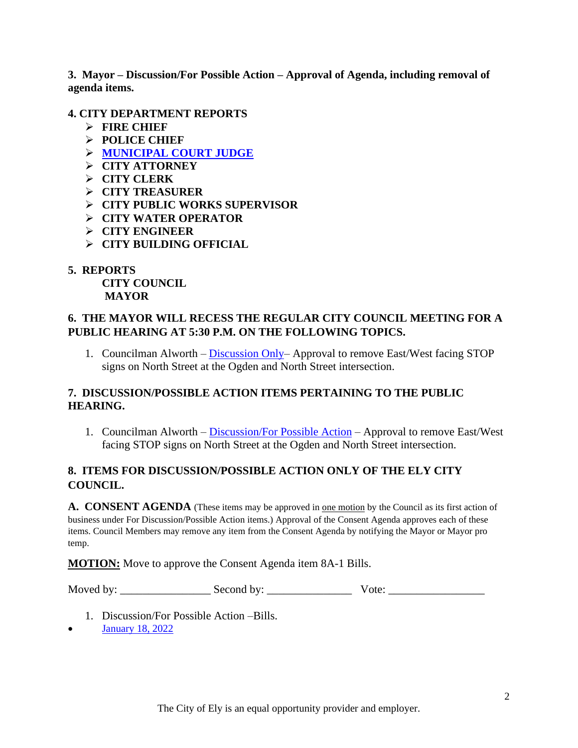**3. Mayor – Discussion/For Possible Action – Approval of Agenda, including removal of agenda items.**

### **4. CITY DEPARTMENT REPORTS**

- ➢ **FIRE CHIEF**
- ➢ **POLICE CHIEF**
- ➢ **[MUNICIPAL COURT JUDGE](https://www.cityofelynv.gov/pdf/CityCouncil2022/cc1-27-22/December21munireport.pdf)**
- ➢ **CITY ATTORNEY**
- ➢ **CITY CLERK**
- ➢ **CITY TREASURER**
- ➢ **CITY PUBLIC WORKS SUPERVISOR**
- ➢ **CITY WATER OPERATOR**
- ➢ **CITY ENGINEER**
- ➢ **CITY BUILDING OFFICIAL**

# **5. REPORTS**

**CITY COUNCIL MAYOR**

# **6. THE MAYOR WILL RECESS THE REGULAR CITY COUNCIL MEETING FOR A PUBLIC HEARING AT 5:30 P.M. ON THE FOLLOWING TOPICS.**

1. Councilman Alworth – [Discussion Only–](https://www.cityofelynv.gov/pdf/CityCouncil2022/cc1-27-22/PHstreetsignsOgdenandNorth.pdf) Approval to remove East/West facing STOP signs on North Street at the Ogden and North Street intersection.

## **7. DISCUSSION/POSSIBLE ACTION ITEMS PERTAINING TO THE PUBLIC HEARING.**

1. Councilman Alworth – [Discussion/For Possible Action](https://www.cityofelynv.gov/pdf/CityCouncil2022/cc1-27-22/PHstreetsignsOgdenandNorth.pdf) – Approval to remove East/West facing STOP signs on North Street at the Ogden and North Street intersection.

## **8. ITEMS FOR DISCUSSION/POSSIBLE ACTION ONLY OF THE ELY CITY COUNCIL.**

A. CONSENT AGENDA (These items may be approved in <u>one motion</u> by the Council as its first action of business under For Discussion/Possible Action items.) Approval of the Consent Agenda approves each of these items. Council Members may remove any item from the Consent Agenda by notifying the Mayor or Mayor pro temp.

**MOTION:** Move to approve the Consent Agenda item 8A-1 Bills.

Moved by: \_\_\_\_\_\_\_\_\_\_\_\_\_\_\_\_ Second by: \_\_\_\_\_\_\_\_\_\_\_\_\_\_\_ Vote: \_\_\_\_\_\_\_\_\_\_\_\_\_\_\_\_\_

- 1. Discussion/For Possible Action –Bills.
- [January 18, 2022](https://www.cityofelynv.gov/pdf/CityCouncil2022/cc1-27-22/ccbills1-18-22.pdf)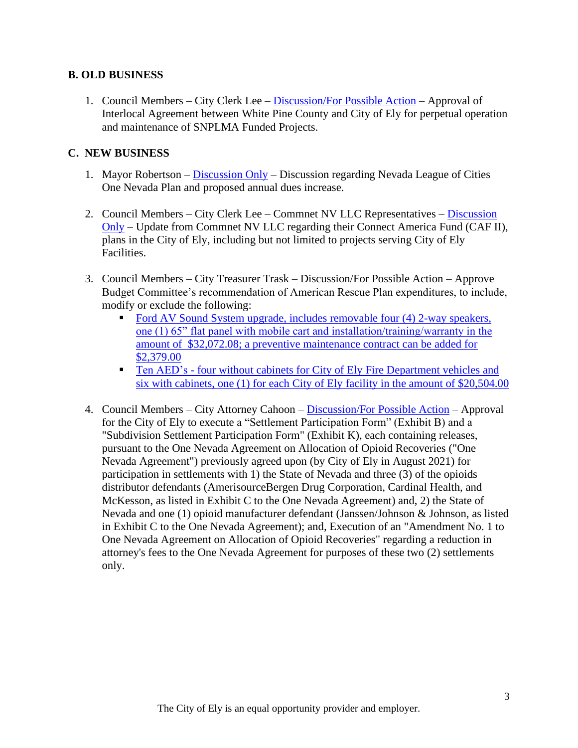#### **B. OLD BUSINESS**

1. Council Members – City Clerk Lee – [Discussion/For Possible Action](https://www.cityofelynv.gov/pdf/CityCouncil2022/cc1-27-22/INTERLOCALAGREEMENT-SNPLMAPARKSOPERATIONMAINTENACE-Jan192022Final.pdf) – Approval of Interlocal Agreement between White Pine County and City of Ely for perpetual operation and maintenance of SNPLMA Funded Projects.

#### **C. NEW BUSINESS**

- 1. Mayor Robertson [Discussion Only](https://www.cityofelynv.gov/pdf/CityCouncil2022/cc1-27-22/leagueofcityitem.pdf) Discussion regarding Nevada League of Cities One Nevada Plan and proposed annual dues increase.
- 2. Council Members City Clerk Lee Commnet NV LLC Representatives [Discussion](https://www.cityofelynv.gov/pdf/CityCouncil2022/cc1-27-22/CommnetOverviewWhitePineCounty-CityofEly.pdf)  [Only](https://www.cityofelynv.gov/pdf/CityCouncil2022/cc1-27-22/CommnetOverviewWhitePineCounty-CityofEly.pdf) – Update from Commnet NV LLC regarding their Connect America Fund (CAF II), plans in the City of Ely, including but not limited to projects serving City of Ely Facilities.
- 3. Council Members City Treasurer Trask Discussion/For Possible Action Approve Budget Committee's recommendation of American Rescue Plan expenditures, to include, modify or exclude the following:
	- [Ford AV Sound System upgrade, includes removable four](https://www.cityofelynv.gov/pdf/CityCouncil2022/cc1-27-22/Soundsystem-ARPArequest.pdf) (4) 2-way speakers, [one \(1\) 65" flat panel with mobile cart and installation/training/warranty in the](https://www.cityofelynv.gov/pdf/CityCouncil2022/cc1-27-22/Soundsystem-ARPArequest.pdf)  amount of \$32,072.08; [a preventive maintenance contract can be added for](https://www.cityofelynv.gov/pdf/CityCouncil2022/cc1-27-22/Soundsystem-ARPArequest.pdf)  [\\$2,379.00](https://www.cityofelynv.gov/pdf/CityCouncil2022/cc1-27-22/Soundsystem-ARPArequest.pdf)
	- **Ten AED's four without cabinets for City of Ely Fire Department vehicles and** [six with cabinets, one \(1\) for each City of Ely](https://www.cityofelynv.gov/pdf/CityCouncil2022/cc1-27-22/AEDquote-ARPArequest.pdf) facility in the amount of \$20,504.00
- 4. Council Members City Attorney Cahoon [Discussion/For Possible Action](https://www.cityofelynv.gov/pdf/CityCouncil2022/cc1-27-22/Opiodesettlementagreement.pdf) Approval for the City of Ely to execute a "Settlement Participation Form" (Exhibit B) and a "Subdivision Settlement Participation Form" (Exhibit K), each containing releases, pursuant to the One Nevada Agreement on Allocation of Opioid Recoveries ("One Nevada Agreement") previously agreed upon (by City of Ely in August 2021) for participation in settlements with 1) the State of Nevada and three (3) of the opioids distributor defendants (AmerisourceBergen Drug Corporation, Cardinal Health, and McKesson, as listed in Exhibit C to the One Nevada Agreement) and, 2) the State of Nevada and one (1) opioid manufacturer defendant (Janssen/Johnson & Johnson, as listed in Exhibit C to the One Nevada Agreement); and, Execution of an "Amendment No. 1 to One Nevada Agreement on Allocation of Opioid Recoveries" regarding a reduction in attorney's fees to the One Nevada Agreement for purposes of these two (2) settlements only.